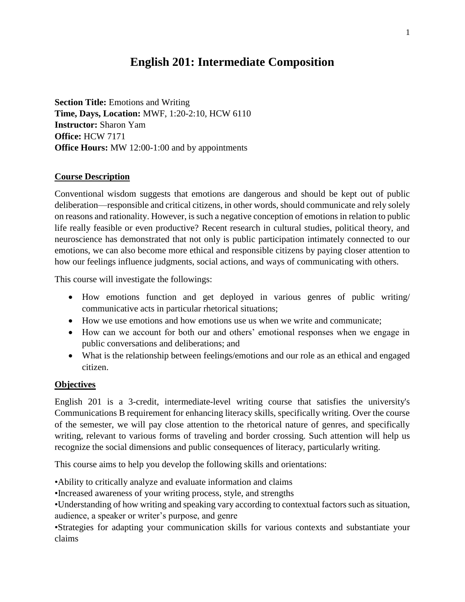# **English 201: Intermediate Composition**

**Section Title:** Emotions and Writing **Time, Days, Location:** MWF, 1:20-2:10, HCW 6110 **Instructor:** Sharon Yam **Office:** HCW 7171 **Office Hours:** MW 12:00-1:00 and by appointments

### **Course Description**

Conventional wisdom suggests that emotions are dangerous and should be kept out of public deliberation—responsible and critical citizens, in other words, should communicate and rely solely on reasons and rationality. However, is such a negative conception of emotions in relation to public life really feasible or even productive? Recent research in cultural studies, political theory, and neuroscience has demonstrated that not only is public participation intimately connected to our emotions, we can also become more ethical and responsible citizens by paying closer attention to how our feelings influence judgments, social actions, and ways of communicating with others.

This course will investigate the followings:

- How emotions function and get deployed in various genres of public writing/ communicative acts in particular rhetorical situations;
- How we use emotions and how emotions use us when we write and communicate;
- How can we account for both our and others' emotional responses when we engage in public conversations and deliberations; and
- What is the relationship between feelings/emotions and our role as an ethical and engaged citizen.

### **Objectives**

English 201 is a 3-credit, intermediate-level writing course that satisfies the university's Communications B requirement for enhancing literacy skills, specifically writing. Over the course of the semester, we will pay close attention to the rhetorical nature of genres, and specifically writing, relevant to various forms of traveling and border crossing. Such attention will help us recognize the social dimensions and public consequences of literacy, particularly writing.

This course aims to help you develop the following skills and orientations:

•Ability to critically analyze and evaluate information and claims

•Increased awareness of your writing process, style, and strengths

•Understanding of how writing and speaking vary according to contextual factors such as situation, audience, a speaker or writer's purpose, and genre

•Strategies for adapting your communication skills for various contexts and substantiate your claims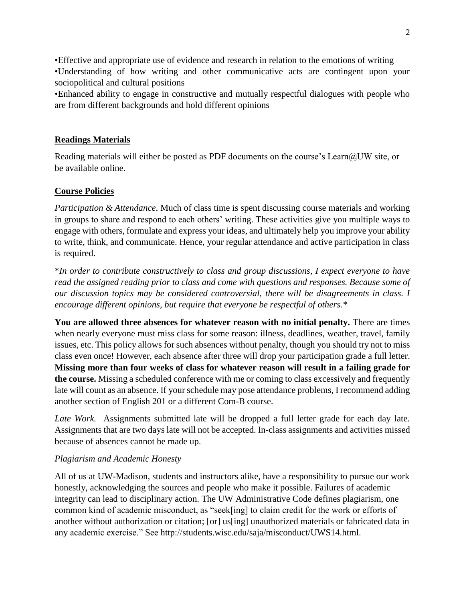•Effective and appropriate use of evidence and research in relation to the emotions of writing •Understanding of how writing and other communicative acts are contingent upon your sociopolitical and cultural positions

•Enhanced ability to engage in constructive and mutually respectful dialogues with people who are from different backgrounds and hold different opinions

### **Readings Materials**

Reading materials will either be posted as PDF documents on the course's Learn@UW site, or be available online.

### **Course Policies**

*Participation & Attendance*. Much of class time is spent discussing course materials and working in groups to share and respond to each others' writing. These activities give you multiple ways to engage with others, formulate and express your ideas, and ultimately help you improve your ability to write, think, and communicate. Hence, your regular attendance and active participation in class is required.

\**In order to contribute constructively to class and group discussions, I expect everyone to have read the assigned reading prior to class and come with questions and responses. Because some of our discussion topics may be considered controversial, there will be disagreements in class. I encourage different opinions, but require that everyone be respectful of others.\**

**You are allowed three absences for whatever reason with no initial penalty.** There are times when nearly everyone must miss class for some reason: illness, deadlines, weather, travel, family issues, etc. This policy allows for such absences without penalty, though you should try not to miss class even once! However, each absence after three will drop your participation grade a full letter. **Missing more than four weeks of class for whatever reason will result in a failing grade for the course.** Missing a scheduled conference with me or coming to class excessively and frequently late will count as an absence. If your schedule may pose attendance problems, I recommend adding another section of English 201 or a different Com-B course.

Late Work. Assignments submitted late will be dropped a full letter grade for each day late. Assignments that are two days late will not be accepted. In-class assignments and activities missed because of absences cannot be made up.

### *Plagiarism and Academic Honesty*

All of us at UW-Madison, students and instructors alike, have a responsibility to pursue our work honestly, acknowledging the sources and people who make it possible. Failures of academic integrity can lead to disciplinary action. The UW Administrative Code defines plagiarism, one common kind of academic misconduct, as "seek[ing] to claim credit for the work or efforts of another without authorization or citation; [or] us[ing] unauthorized materials or fabricated data in any academic exercise." See http://students.wisc.edu/saja/misconduct/UWS14.html.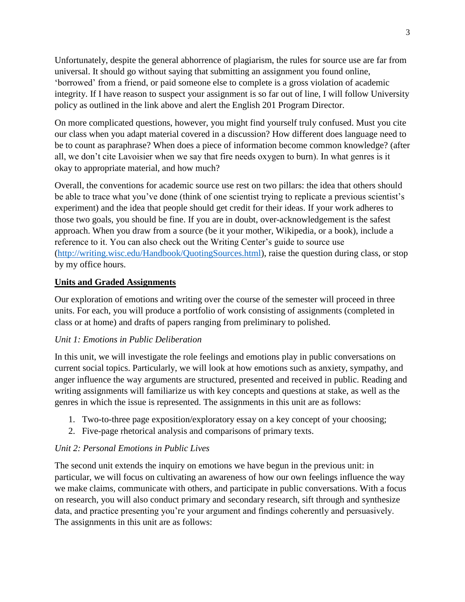Unfortunately, despite the general abhorrence of plagiarism, the rules for source use are far from universal. It should go without saying that submitting an assignment you found online, 'borrowed' from a friend, or paid someone else to complete is a gross violation of academic integrity. If I have reason to suspect your assignment is so far out of line, I will follow University policy as outlined in the link above and alert the English 201 Program Director.

On more complicated questions, however, you might find yourself truly confused. Must you cite our class when you adapt material covered in a discussion? How different does language need to be to count as paraphrase? When does a piece of information become common knowledge? (after all, we don't cite Lavoisier when we say that fire needs oxygen to burn). In what genres is it okay to appropriate material, and how much?

Overall, the conventions for academic source use rest on two pillars: the idea that others should be able to trace what you've done (think of one scientist trying to replicate a previous scientist's experiment) and the idea that people should get credit for their ideas. If your work adheres to those two goals, you should be fine. If you are in doubt, over-acknowledgement is the safest approach. When you draw from a source (be it your mother, Wikipedia, or a book), include a reference to it. You can also check out the Writing Center's guide to source use [\(http://writing.wisc.edu/Handbook/QuotingSources.html\)](http://writing.wisc.edu/Handbook/QuotingSources.html), raise the question during class, or stop by my office hours.

### **Units and Graded Assignments**

Our exploration of emotions and writing over the course of the semester will proceed in three units. For each, you will produce a portfolio of work consisting of assignments (completed in class or at home) and drafts of papers ranging from preliminary to polished.

### *Unit 1: Emotions in Public Deliberation*

In this unit, we will investigate the role feelings and emotions play in public conversations on current social topics. Particularly, we will look at how emotions such as anxiety, sympathy, and anger influence the way arguments are structured, presented and received in public. Reading and writing assignments will familiarize us with key concepts and questions at stake, as well as the genres in which the issue is represented. The assignments in this unit are as follows:

- 1. Two-to-three page exposition/exploratory essay on a key concept of your choosing;
- 2. Five-page rhetorical analysis and comparisons of primary texts.

# *Unit 2: Personal Emotions in Public Lives*

The second unit extends the inquiry on emotions we have begun in the previous unit: in particular, we will focus on cultivating an awareness of how our own feelings influence the way we make claims, communicate with others, and participate in public conversations. With a focus on research, you will also conduct primary and secondary research, sift through and synthesize data, and practice presenting you're your argument and findings coherently and persuasively. The assignments in this unit are as follows: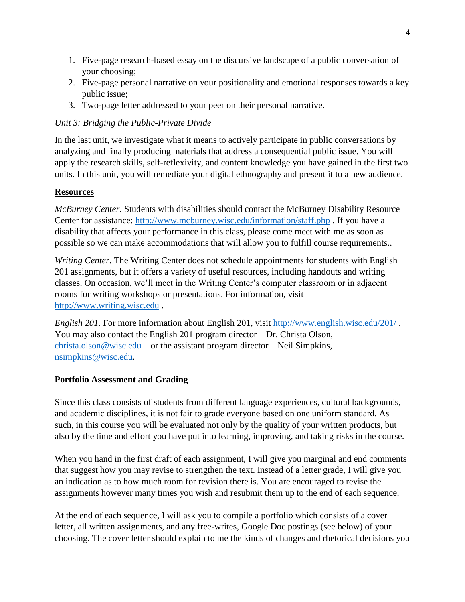- 1. Five-page research-based essay on the discursive landscape of a public conversation of your choosing;
- 2. Five-page personal narrative on your positionality and emotional responses towards a key public issue;
- 3. Two-page letter addressed to your peer on their personal narrative.

### *Unit 3: Bridging the Public-Private Divide*

In the last unit, we investigate what it means to actively participate in public conversations by analyzing and finally producing materials that address a consequential public issue. You will apply the research skills, self-reflexivity, and content knowledge you have gained in the first two units. In this unit, you will remediate your digital ethnography and present it to a new audience.

### **Resources**

*McBurney Center.* Students with disabilities should contact the McBurney Disability Resource Center for assistance:<http://www.mcburney.wisc.edu/information/staff.php> . If you have a disability that affects your performance in this class, please come meet with me as soon as possible so we can make accommodations that will allow you to fulfill course requirements..

*Writing Center.* The Writing Center does not schedule appointments for students with English 201 assignments, but it offers a variety of useful resources, including handouts and writing classes. On occasion, we'll meet in the Writing Center's computer classroom or in adjacent rooms for writing workshops or presentations. For information, visit [http://www.writing.wisc.edu](http://www.writing.wisc.edu/) .

*English 201.* For more information about English 201, visit<http://www.english.wisc.edu/201/> . You may also contact the English 201 program director—Dr. Christa Olson, [christa.olson@wisc.edu—](mailto:christa.olson@wisc.edu)or the assistant program director—Neil Simpkins, [nsimpkins@wisc.edu.](mailto:nsimpkins@wisc.edu)

### **Portfolio Assessment and Grading**

Since this class consists of students from different language experiences, cultural backgrounds, and academic disciplines, it is not fair to grade everyone based on one uniform standard. As such, in this course you will be evaluated not only by the quality of your written products, but also by the time and effort you have put into learning, improving, and taking risks in the course.

When you hand in the first draft of each assignment, I will give you marginal and end comments that suggest how you may revise to strengthen the text. Instead of a letter grade, I will give you an indication as to how much room for revision there is. You are encouraged to revise the assignments however many times you wish and resubmit them up to the end of each sequence.

At the end of each sequence, I will ask you to compile a portfolio which consists of a cover letter, all written assignments, and any free-writes, Google Doc postings (see below) of your choosing. The cover letter should explain to me the kinds of changes and rhetorical decisions you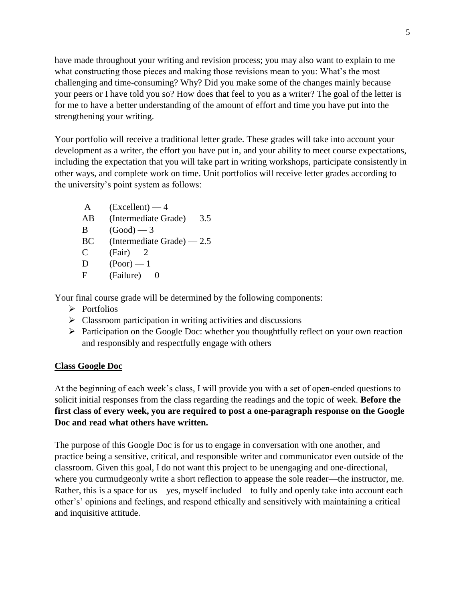have made throughout your writing and revision process; you may also want to explain to me what constructing those pieces and making those revisions mean to you: What's the most challenging and time-consuming? Why? Did you make some of the changes mainly because your peers or I have told you so? How does that feel to you as a writer? The goal of the letter is for me to have a better understanding of the amount of effort and time you have put into the strengthening your writing.

Your portfolio will receive a traditional letter grade. These grades will take into account your development as a writer, the effort you have put in, and your ability to meet course expectations, including the expectation that you will take part in writing workshops, participate consistently in other ways, and complete work on time. Unit portfolios will receive letter grades according to the university's point system as follows:

- $A$  (Excellent)  $-4$
- AB (Intermediate Grade) 3.5
- $B$   $(Good)$   $-3$
- BC (Intermediate Grade) 2.5
- C  $(Fair) 2$
- $D \qquad (Poor) \longrightarrow 1$
- $F$  (Failure) 0

Your final course grade will be determined by the following components:

- ➢ Portfolios
- $\triangleright$  Classroom participation in writing activities and discussions
- ➢ Participation on the Google Doc: whether you thoughtfully reflect on your own reaction and responsibly and respectfully engage with others

### **Class Google Doc**

At the beginning of each week's class, I will provide you with a set of open-ended questions to solicit initial responses from the class regarding the readings and the topic of week. **Before the first class of every week, you are required to post a one-paragraph response on the Google Doc and read what others have written.** 

The purpose of this Google Doc is for us to engage in conversation with one another, and practice being a sensitive, critical, and responsible writer and communicator even outside of the classroom. Given this goal, I do not want this project to be unengaging and one-directional, where you curmudgeonly write a short reflection to appease the sole reader—the instructor, me. Rather, this is a space for us—yes, myself included—to fully and openly take into account each other's' opinions and feelings, and respond ethically and sensitively with maintaining a critical and inquisitive attitude.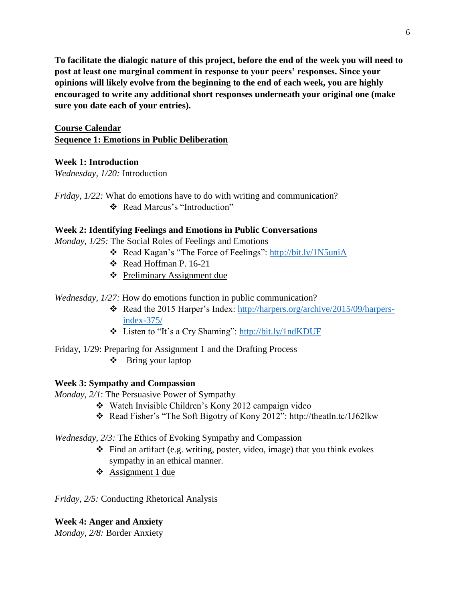**To facilitate the dialogic nature of this project, before the end of the week you will need to**  post at least one marginal comment in response to your peers' responses. Since your **opinions will likely evolve from the beginning to the end of each week, you are highly encouraged to write any additional short responses underneath your original one (make sure you date each of your entries).** 

### **Course Calendar Sequence 1: Emotions in Public Deliberation**

### **Week 1: Introduction**

*Wednesday, 1/20:* Introduction

- *Friday, 1/22:* What do emotions have to do with writing and communication?
	- ❖ Read Marcus's "Introduction"

### **Week 2: Identifying Feelings and Emotions in Public Conversations**

*Monday, 1/25:* The Social Roles of Feelings and Emotions

- ❖ Read Kagan's "The Force of Feelings":<http://bit.ly/1N5uniA>
- ❖ Read Hoffman P. 16-21
- ❖ Preliminary Assignment due
- *Wednesday, 1/27:* How do emotions function in public communication?
	- ❖ Read the 2015 Harper's Index: [http://harpers.org/archive/2015/09/harpers](http://harpers.org/archive/2015/09/harpers-index-375/)[index-375/](http://harpers.org/archive/2015/09/harpers-index-375/)
	- ❖ Listen to "It's a Cry Shaming":<http://bit.ly/1ndKDUF>
- Friday, 1/29: Preparing for Assignment 1 and the Drafting Process
	- ❖ Bring your laptop

### **Week 3: Sympathy and Compassion**

- *Monday, 2/1*: The Persuasive Power of Sympathy
	- ❖ Watch Invisible Children's Kony 2012 campaign video
	- ❖ Read Fisher's "The Soft Bigotry of Kony 2012": http://theatln.tc/1J62lkw

### *Wednesday, 2/3:* The Ethics of Evoking Sympathy and Compassion

- ❖ Find an artifact (e.g. writing, poster, video, image) that you think evokes sympathy in an ethical manner.
- ❖ Assignment 1 due

*Friday, 2/5:* Conducting Rhetorical Analysis

# **Week 4: Anger and Anxiety**

*Monday, 2/8:* Border Anxiety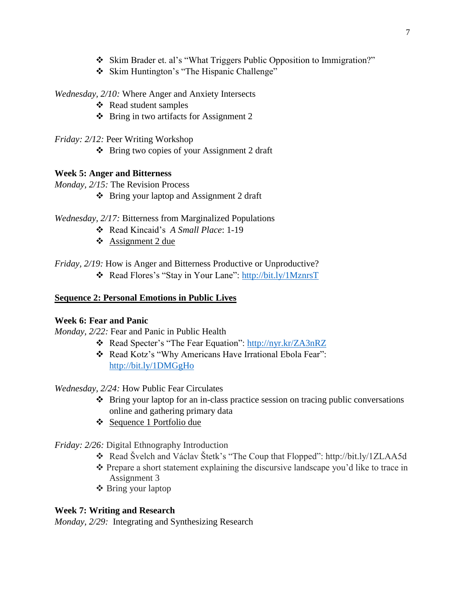- ❖ Skim Brader et. al's "What Triggers Public Opposition to Immigration?"
- ❖ Skim Huntington's "The Hispanic Challenge"

*Wednesday, 2/10:* Where Anger and Anxiety Intersects

- ❖ Read student samples
- ❖ Bring in two artifacts for Assignment 2
- *Friday: 2/12:* Peer Writing Workshop
	- ❖ Bring two copies of your Assignment 2 draft

### **Week 5: Anger and Bitterness**

- *Monday, 2/15:* The Revision Process
	- ❖ Bring your laptop and Assignment 2 draft

### *Wednesday, 2/17:* Bitterness from Marginalized Populations

- ❖ Read Kincaid's *A Small Place*: 1-19
- ❖ Assignment 2 due

*Friday, 2/19:* How is Anger and Bitterness Productive or Unproductive?

❖ Read Flores's "Stay in Your Lane":<http://bit.ly/1MznrsT>

#### **Sequence 2: Personal Emotions in Public Lives**

### **Week 6: Fear and Panic**

*Monday, 2/22:* Fear and Panic in Public Health

- ❖ Read Specter's "The Fear Equation":<http://nyr.kr/ZA3nRZ>
- ❖ Read Kotz's "Why Americans Have Irrational Ebola Fear": <http://bit.ly/1DMGgHo>

### *Wednesday, 2/24:* How Public Fear Circulates

- ❖ Bring your laptop for an in-class practice session on tracing public conversations online and gathering primary data
- ❖ Sequence 1 Portfolio due

### *Friday: 2/26:* Digital Ethnography Introduction

- ❖ Read Švelch and Václav Štetk's "The Coup that Flopped": http://bit.ly/1ZLAA5d
- ❖ Prepare a short statement explaining the discursive landscape you'd like to trace in Assignment 3
- ❖ Bring your laptop

### **Week 7: Writing and Research**

*Monday, 2/29:* Integrating and Synthesizing Research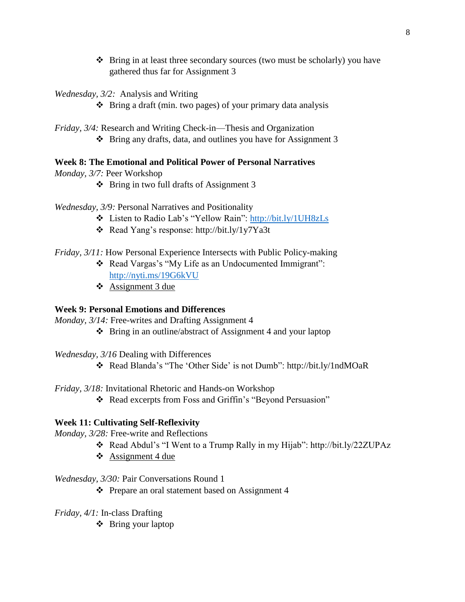- ❖ Bring in at least three secondary sources (two must be scholarly) you have gathered thus far for Assignment 3
- *Wednesday, 3/2:* Analysis and Writing
	- ❖ Bring a draft (min. two pages) of your primary data analysis
- *Friday, 3/4:* Research and Writing Check-in—Thesis and Organization ❖ Bring any drafts, data, and outlines you have for Assignment 3

### **Week 8: The Emotional and Political Power of Personal Narratives**

- *Monday, 3/7:* Peer Workshop
	- ❖ Bring in two full drafts of Assignment 3
- *Wednesday, 3/9:* Personal Narratives and Positionality
	- ❖ Listen to Radio Lab's "Yellow Rain":<http://bit.ly/1UH8zLs>
	- ❖ Read Yang's response: http://bit.ly/1y7Ya3t
- *Friday, 3/11:* How Personal Experience Intersects with Public Policy-making
	- ❖ Read Vargas's "My Life as an Undocumented Immigrant": <http://nyti.ms/19G6kVU>
	- ❖ Assignment 3 due

# **Week 9: Personal Emotions and Differences**

*Monday, 3/14:* Free-writes and Drafting Assignment 4

- ❖ Bring in an outline/abstract of Assignment 4 and your laptop
- *Wednesday, 3/16* Dealing with Differences
	- ❖ Read Blanda's "The 'Other Side' is not Dumb": http://bit.ly/1ndMOaR
- *Friday, 3/18:* Invitational Rhetoric and Hands-on Workshop
	- ❖ Read excerpts from Foss and Griffin's "Beyond Persuasion"

# **Week 11: Cultivating Self-Reflexivity**

- *Monday, 3/28:* Free-write and Reflections
	- ❖ Read Abdul's "I Went to a Trump Rally in my Hijab": http://bit.ly/22ZUPAz
	- $\div$  Assignment 4 due

# *Wednesday, 3/30:* Pair Conversations Round 1

- ❖ Prepare an oral statement based on Assignment 4
- *Friday, 4/1:* In-class Drafting
	- ❖ Bring your laptop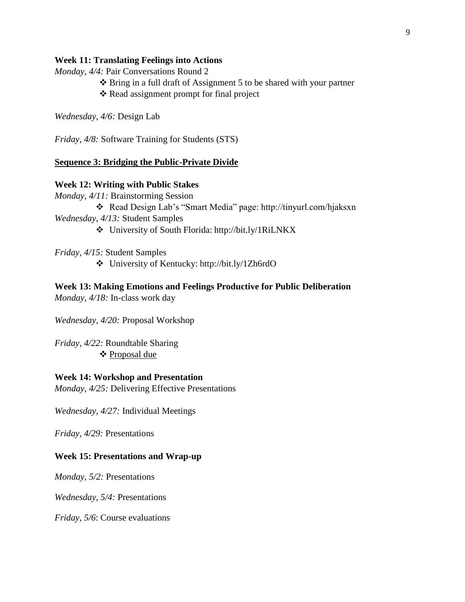#### **Week 11: Translating Feelings into Actions**

*Monday, 4/4:* Pair Conversations Round 2

- ❖ Bring in a full draft of Assignment 5 to be shared with your partner
- ❖ Read assignment prompt for final project

*Wednesday, 4/6:* Design Lab

*Friday, 4/8:* Software Training for Students (STS)

#### **Sequence 3: Bridging the Public-Private Divide**

#### **Week 12: Writing with Public Stakes**

*Monday, 4/11:* Brainstorming Session ❖ Read Design Lab's "Smart Media" page: http://tinyurl.com/hjaksxn

*Wednesday, 4/13:* Student Samples

❖ University of South Florida: http://bit.ly/1RiLNKX

*Friday, 4/15:* Student Samples

❖ University of Kentucky: http://bit.ly/1Zh6rdO

#### **Week 13: Making Emotions and Feelings Productive for Public Deliberation** *Monday, 4/18:* In-class work day

*Wednesday, 4/20:* Proposal Workshop

*Friday, 4/22:* Roundtable Sharing ❖ Proposal due

#### **Week 14: Workshop and Presentation**

*Monday, 4/25:* Delivering Effective Presentations

*Wednesday, 4/27:* Individual Meetings

*Friday, 4/29:* Presentations

#### **Week 15: Presentations and Wrap-up**

*Monday, 5/2:* Presentations

*Wednesday, 5/4:* Presentations

*Friday, 5/6*: Course evaluations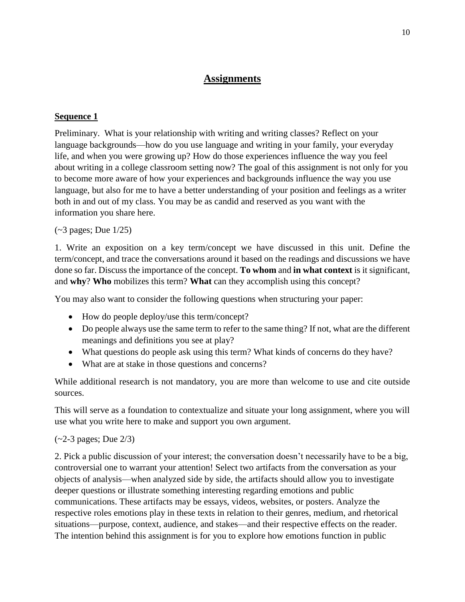# **Assignments**

### **Sequence 1**

Preliminary. What is your relationship with writing and writing classes? Reflect on your language backgrounds—how do you use language and writing in your family, your everyday life, and when you were growing up? How do those experiences influence the way you feel about writing in a college classroom setting now? The goal of this assignment is not only for you to become more aware of how your experiences and backgrounds influence the way you use language, but also for me to have a better understanding of your position and feelings as a writer both in and out of my class. You may be as candid and reserved as you want with the information you share here.

### (~3 pages; Due 1/25)

1. Write an exposition on a key term/concept we have discussed in this unit. Define the term/concept, and trace the conversations around it based on the readings and discussions we have done so far. Discuss the importance of the concept. **To whom** and **in what context** is it significant, and **why**? **Who** mobilizes this term? **What** can they accomplish using this concept?

You may also want to consider the following questions when structuring your paper:

- How do people deploy/use this term/concept?
- Do people always use the same term to refer to the same thing? If not, what are the different meanings and definitions you see at play?
- What questions do people ask using this term? What kinds of concerns do they have?
- What are at stake in those questions and concerns?

While additional research is not mandatory, you are more than welcome to use and cite outside sources.

This will serve as a foundation to contextualize and situate your long assignment, where you will use what you write here to make and support you own argument.

### (~2-3 pages; Due 2/3)

2. Pick a public discussion of your interest; the conversation doesn't necessarily have to be a big, controversial one to warrant your attention! Select two artifacts from the conversation as your objects of analysis—when analyzed side by side, the artifacts should allow you to investigate deeper questions or illustrate something interesting regarding emotions and public communications. These artifacts may be essays, videos, websites, or posters. Analyze the respective roles emotions play in these texts in relation to their genres, medium, and rhetorical situations—purpose, context, audience, and stakes—and their respective effects on the reader. The intention behind this assignment is for you to explore how emotions function in public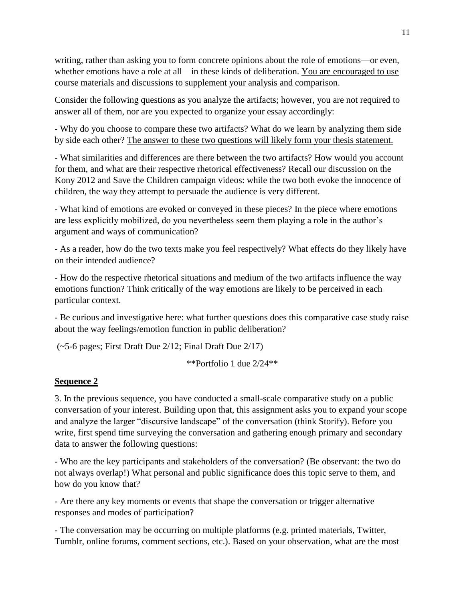writing, rather than asking you to form concrete opinions about the role of emotions—or even, whether emotions have a role at all—in these kinds of deliberation. You are encouraged to use course materials and discussions to supplement your analysis and comparison.

Consider the following questions as you analyze the artifacts; however, you are not required to answer all of them, nor are you expected to organize your essay accordingly:

- Why do you choose to compare these two artifacts? What do we learn by analyzing them side by side each other? The answer to these two questions will likely form your thesis statement.

- What similarities and differences are there between the two artifacts? How would you account for them, and what are their respective rhetorical effectiveness? Recall our discussion on the Kony 2012 and Save the Children campaign videos: while the two both evoke the innocence of children, the way they attempt to persuade the audience is very different.

- What kind of emotions are evoked or conveyed in these pieces? In the piece where emotions are less explicitly mobilized, do you nevertheless seem them playing a role in the author's argument and ways of communication?

- As a reader, how do the two texts make you feel respectively? What effects do they likely have on their intended audience?

- How do the respective rhetorical situations and medium of the two artifacts influence the way emotions function? Think critically of the way emotions are likely to be perceived in each particular context.

- Be curious and investigative here: what further questions does this comparative case study raise about the way feelings/emotion function in public deliberation?

(~5-6 pages; First Draft Due 2/12; Final Draft Due 2/17)

\*\*Portfolio 1 due 2/24\*\*

# **Sequence 2**

3. In the previous sequence, you have conducted a small-scale comparative study on a public conversation of your interest. Building upon that, this assignment asks you to expand your scope and analyze the larger "discursive landscape" of the conversation (think Storify). Before you write, first spend time surveying the conversation and gathering enough primary and secondary data to answer the following questions:

- Who are the key participants and stakeholders of the conversation? (Be observant: the two do not always overlap!) What personal and public significance does this topic serve to them, and how do you know that?

- Are there any key moments or events that shape the conversation or trigger alternative responses and modes of participation?

- The conversation may be occurring on multiple platforms (e.g. printed materials, Twitter, Tumblr, online forums, comment sections, etc.). Based on your observation, what are the most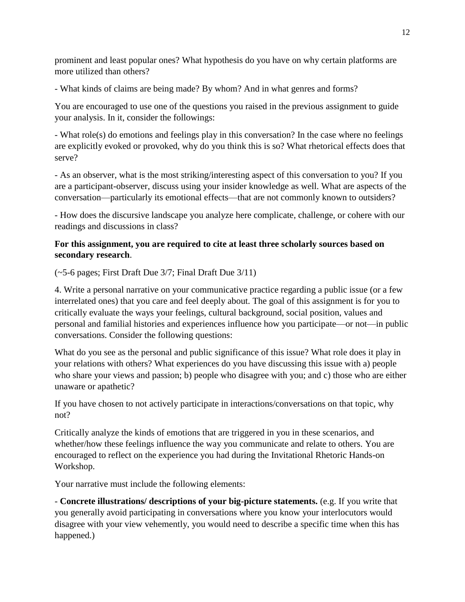prominent and least popular ones? What hypothesis do you have on why certain platforms are more utilized than others?

- What kinds of claims are being made? By whom? And in what genres and forms?

You are encouraged to use one of the questions you raised in the previous assignment to guide your analysis. In it, consider the followings:

- What role(s) do emotions and feelings play in this conversation? In the case where no feelings are explicitly evoked or provoked, why do you think this is so? What rhetorical effects does that serve?

- As an observer, what is the most striking/interesting aspect of this conversation to you? If you are a participant-observer, discuss using your insider knowledge as well. What are aspects of the conversation—particularly its emotional effects—that are not commonly known to outsiders?

- How does the discursive landscape you analyze here complicate, challenge, or cohere with our readings and discussions in class?

### **For this assignment, you are required to cite at least three scholarly sources based on secondary research**.

(~5-6 pages; First Draft Due 3/7; Final Draft Due 3/11)

4. Write a personal narrative on your communicative practice regarding a public issue (or a few interrelated ones) that you care and feel deeply about. The goal of this assignment is for you to critically evaluate the ways your feelings, cultural background, social position, values and personal and familial histories and experiences influence how you participate—or not—in public conversations. Consider the following questions:

What do you see as the personal and public significance of this issue? What role does it play in your relations with others? What experiences do you have discussing this issue with a) people who share your views and passion; b) people who disagree with you; and c) those who are either unaware or apathetic?

If you have chosen to not actively participate in interactions/conversations on that topic, why not?

Critically analyze the kinds of emotions that are triggered in you in these scenarios, and whether/how these feelings influence the way you communicate and relate to others. You are encouraged to reflect on the experience you had during the Invitational Rhetoric Hands-on Workshop.

Your narrative must include the following elements:

- **Concrete illustrations/ descriptions of your big-picture statements.** (e.g. If you write that you generally avoid participating in conversations where you know your interlocutors would disagree with your view vehemently, you would need to describe a specific time when this has happened.)